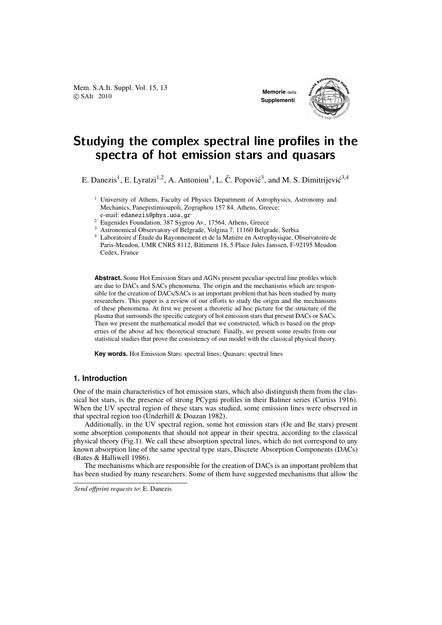Mem. S.A.It. Suppl. Vol. 15, 13 **COVIDENTS AND MEMORIAL SUPPLE VOL. 15, 15 Memorie** della<br>
COVIDENTS 2010

**Supplementi**



# Studying the complex spectral line profiles in the spectra of hot emission stars and quasars

E. Danezis<sup>1</sup>, E. Lyratzi<sup>1,2</sup>, A. Antoniou<sup>1</sup>, L. Č. Popović<sup>3</sup>, and M. S. Dimitrijević<sup>3,4</sup>

- $1$  University of Athens, Faculty of Physics Department of Astrophysics, Astronomy and Mechanics, Panepistimioupoli, Zographou 157 84, Athens, Greece; e-mail: edanezis@phys.uoa.gr
- <sup>2</sup> Eugenides Foundation, 387 Sygrou Av., 17564, Athens, Greece
- <sup>3</sup> Astronomical Observatory of Belgrade, Volgina 7, 11160 Belgrade, Serbia
- <sup>4</sup> Laboratoire d'Étude du Rayonnement et de la Matiére en Astrophysique, Observatoire de Paris-Meudon, UMR CNRS 8112, Bâtiment 18, 5 Place Jules Janssen, F-92195 Meudon Cedex, France

**Abstract.** Some Hot Emission Stars and AGNs present peculiar spectral line profiles which are due to DACs and SACs phenomena. The origin and the mechanisms which are responsible for the creation of DACs/SACs is an important problem that has been studied by many researchers. This paper is a review of our efforts to study the origin and the mechanisms of these phenomena. At first we present a theoretic ad hoc picture for the structure of the plasma that surrounds the specific category of hot emission stars that present DACs or SACs. Then we present the mathematical model that we constructed, which is based on the properties of the above ad hoc theoretical structure. Finally, we present some results from our statistical studies that prove the consistency of our model with the classical physical theory.

**Key words.** Hot Emission Stars: spectral lines; Quasars: spectral lines

## **1. Introduction**

One of the main characteristics of hot emission stars, which also distinguish them from the classical hot stars, is the presence of strong PCygni profiles in their Balmer series (Curtiss 1916). When the UV spectral region of these stars was studied, some emission lines were observed in that spectral region too (Underhill & Doazan 1982).

Additionally, in the UV spectral region, some hot emission stars (Oe and Be stars) present some absorption components that should not appear in their spectra, according to the classical physical theory (Fig.1). We call these absorption spectral lines, which do not correspond to any known absorption line of the same spectral type stars, Discrete Absorption Components (DACs) (Bates & Halliwell 1986).

The mechanisms which are responsible for the creation of DACs is an important problem that has been studied by many researchers. Some of them have suggested mechanisms that allow the

*Send o*ff*print requests to*: E. Danezis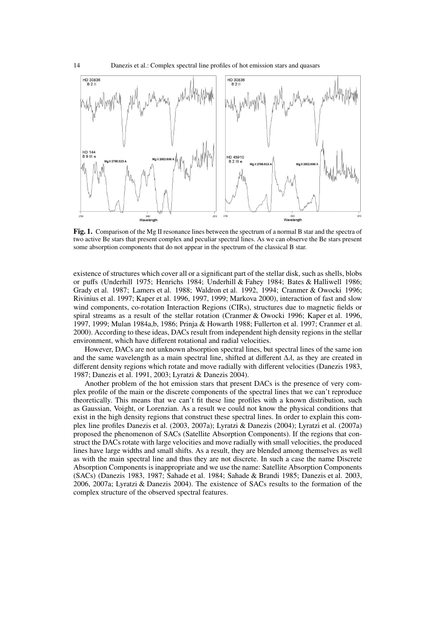

Fig. 1. Comparison of the Mg II resonance lines between the spectrum of a normal B star and the spectra of two active Be stars that present complex and peculiar spectral lines. As we can observe the Be stars present some absorption components that do not appear in the spectrum of the classical B star.

existence of structures which cover all or a significant part of the stellar disk, such as shells, blobs or puffs (Underhill 1975; Henrichs 1984; Underhill & Fahey 1984; Bates & Halliwell 1986; Grady et al. 1987; Lamers et al. 1988; Waldron et al. 1992, 1994; Cranmer & Owocki 1996; Rivinius et al. 1997; Kaper et al. 1996, 1997, 1999; Markova 2000), interaction of fast and slow wind components, co-rotation Interaction Regions (CIRs), structures due to magnetic fields or spiral streams as a result of the stellar rotation (Cranmer & Owocki 1996; Kaper et al. 1996, 1997, 1999; Mulan 1984a,b, 1986; Prinja & Howarth 1988; Fullerton et al. 1997; Cranmer et al. 2000). According to these ideas, DACs result from independent high density regions in the stellar environment, which have different rotational and radial velocities.

However, DACs are not unknown absorption spectral lines, but spectral lines of the same ion and the same wavelength as a main spectral line, shifted at different  $\Delta\lambda$ , as they are created in different density regions which rotate and move radially with different velocities (Danezis 1983, 1987; Danezis et al. 1991, 2003; Lyratzi & Danezis 2004).

Another problem of the hot emission stars that present DACs is the presence of very complex profile of the main or the discrete components of the spectral lines that we can't reproduce theoretically. This means that we can't fit these line profiles with a known distribution, such as Gaussian, Voight, or Lorenzian. As a result we could not know the physical conditions that exist in the high density regions that construct these spectral lines. In order to explain this complex line profiles Danezis et al. (2003, 2007a); Lyratzi & Danezis (2004); Lyratzi et al. (2007a) proposed the phenomenon of SACs (Satellite Absorption Components). If the regions that construct the DACs rotate with large velocities and move radially with small velocities, the produced lines have large widths and small shifts. As a result, they are blended among themselves as well as with the main spectral line and thus they are not discrete. In such a case the name Discrete Absorption Components is inappropriate and we use the name: Satellite Absorption Components (SACs) (Danezis 1983, 1987; Sahade et al. 1984; Sahade & Brandi 1985; Danezis et al. 2003, 2006, 2007a; Lyratzi & Danezis 2004). The existence of SACs results to the formation of the complex structure of the observed spectral features.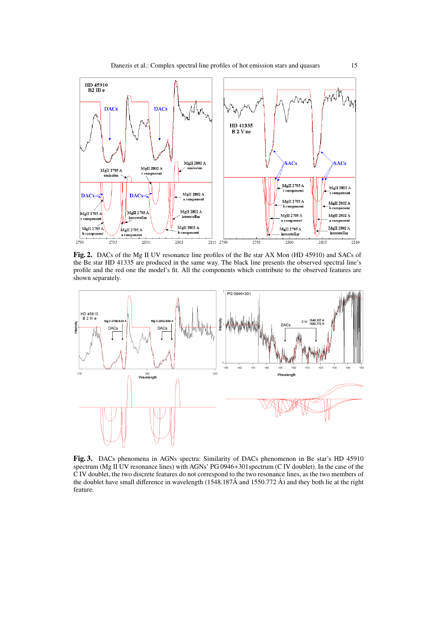

Fig. 2. DACs of the Mg II UV resonance line profiles of the Be star AX Mon (HD 45910) and SACs of the Be star HD 41335 are produced in the same way. The black line presents the observed spectral line's profile and the red one the model's fit. All the components which contribute to the observed features are shown separately.



Fig. 3. DACs phenomena in AGNs spectra: Similarity of DACs phenomenon in Be star's HD 45910 spectrum (Mg II UV resonance lines) with AGNs' PG 0946+301spectrum (C IV doublet). In the case of the C IV doublet, the two discrete features do not correspond to the two resonance lines, as the two members of the doublet have small difference in wavelength (1548.187Å and 1550.772 Å) and they both lie at the right feature.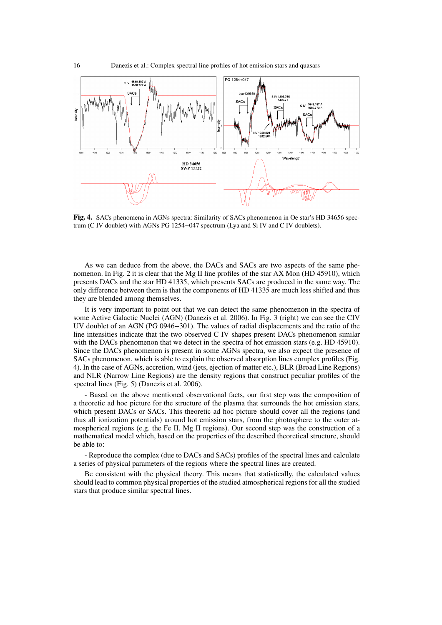

Fig. 4. SACs phenomena in AGNs spectra: Similarity of SACs phenomenon in Oe star's HD 34656 spectrum (C IV doublet) with AGNs PG 1254+047 spectrum (Lya and Si IV and C IV doublets).

As we can deduce from the above, the DACs and SACs are two aspects of the same phenomenon. In Fig. 2 it is clear that the Mg II line profiles of the star AX Mon (HD 45910), which presents DACs and the star HD 41335, which presents SACs are produced in the same way. The only difference between them is that the components of HD 41335 are much less shifted and thus they are blended among themselves.

It is very important to point out that we can detect the same phenomenon in the spectra of some Active Galactic Nuclei (AGN) (Danezis et al. 2006). In Fig. 3 (right) we can see the CIV UV doublet of an AGN (PG 0946+301). The values of radial displacements and the ratio of the line intensities indicate that the two observed C IV shapes present DACs phenomenon similar with the DACs phenomenon that we detect in the spectra of hot emission stars (e.g. HD 45910). Since the DACs phenomenon is present in some AGNs spectra, we also expect the presence of SACs phenomenon, which is able to explain the observed absorption lines complex profiles (Fig. 4). In the case of AGNs, accretion, wind (jets, ejection of matter etc.), BLR (Broad Line Regions) and NLR (Narrow Line Regions) are the density regions that construct peculiar profiles of the spectral lines (Fig. 5) (Danezis et al. 2006).

- Based on the above mentioned observational facts, our first step was the composition of a theoretic ad hoc picture for the structure of the plasma that surrounds the hot emission stars, which present DACs or SACs. This theoretic ad hoc picture should cover all the regions (and thus all ionization potentials) around hot emission stars, from the photosphere to the outer atmospherical regions (e.g. the Fe II, Mg II regions). Our second step was the construction of a mathematical model which, based on the properties of the described theoretical structure, should be able to:

- Reproduce the complex (due to DACs and SACs) profiles of the spectral lines and calculate a series of physical parameters of the regions where the spectral lines are created.

Be consistent with the physical theory. This means that statistically, the calculated values should lead to common physical properties of the studied atmospherical regions for all the studied stars that produce similar spectral lines.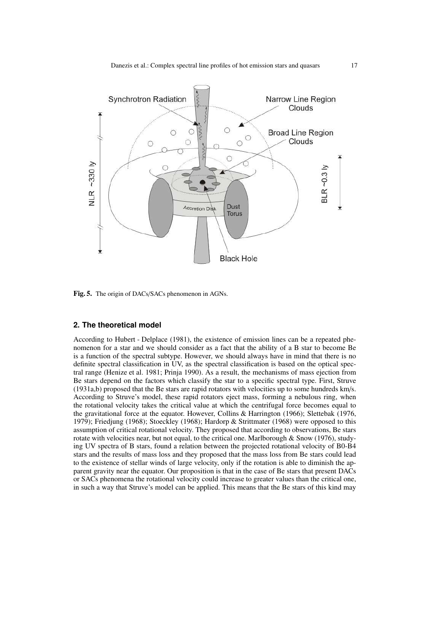

Fig. 5. The origin of DACs/SACs phenomenon in AGNs.

#### **2. The theoretical model**

According to Hubert - Delplace (1981), the existence of emission lines can be a repeated phenomenon for a star and we should consider as a fact that the ability of a B star to become Be is a function of the spectral subtype. However, we should always have in mind that there is no definite spectral classification in UV, as the spectral classification is based on the optical spectral range (Henize et al. 1981; Prinja 1990). As a result, the mechanisms of mass ejection from Be stars depend on the factors which classify the star to a specific spectral type. First, Struve (1931a,b) proposed that the Be stars are rapid rotators with velocities up to some hundreds km/s. According to Struve's model, these rapid rotators eject mass, forming a nebulous ring, when the rotational velocity takes the critical value at which the centrifugal force becomes equal to the gravitational force at the equator. However, Collins & Harrington (1966); Slettebak (1976, 1979); Friedjung (1968); Stoeckley (1968); Hardorp & Strittmater (1968) were opposed to this assumption of critical rotational velocity. They proposed that according to observations, Be stars rotate with velocities near, but not equal, to the critical one. Marlborough  $\&$  Snow (1976), studying UV spectra of B stars, found a relation between the projected rotational velocity of B0-B4 stars and the results of mass loss and they proposed that the mass loss from Be stars could lead to the existence of stellar winds of large velocity, only if the rotation is able to diminish the apparent gravity near the equator. Our proposition is that in the case of Be stars that present DACs or SACs phenomena the rotational velocity could increase to greater values than the critical one, in such a way that Struve's model can be applied. This means that the Be stars of this kind may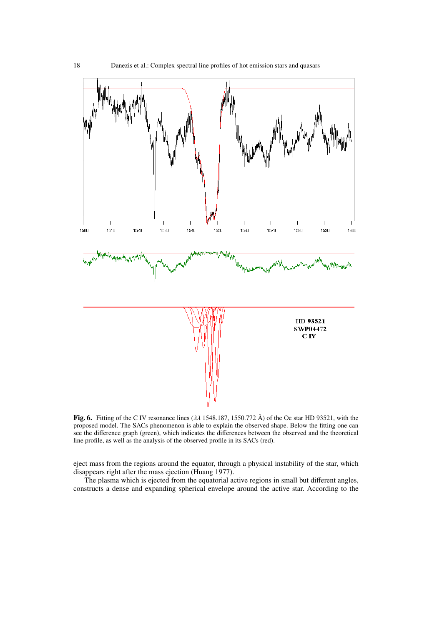

Fig. 6. Fitting of the C IV resonance lines ( $\lambda\lambda$  1548.187, 1550.772 Å) of the Oe star HD 93521, with the proposed model. The SACs phenomenon is able to explain the observed shape. Below the fitting one can see the difference graph (green), which indicates the differences between the observed and the theoretical line profile, as well as the analysis of the observed profile in its SACs (red).

eject mass from the regions around the equator, through a physical instability of the star, which disappears right after the mass ejection (Huang 1977).

The plasma which is ejected from the equatorial active regions in small but different angles, constructs a dense and expanding spherical envelope around the active star. According to the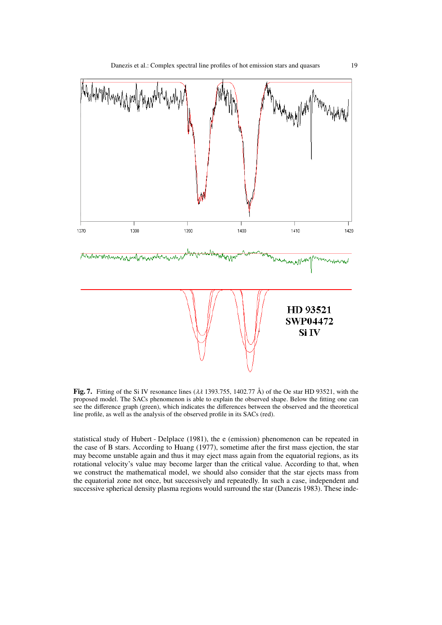

Fig. 7. Fitting of the Si IV resonance lines ( $\lambda\lambda$  1393.755, 1402.77 Å) of the Oe star HD 93521, with the proposed model. The SACs phenomenon is able to explain the observed shape. Below the fitting one can see the difference graph (green), which indicates the differences between the observed and the theoretical line profile, as well as the analysis of the observed profile in its SACs (red).

statistical study of Hubert - Delplace (1981), the e (emission) phenomenon can be repeated in the case of B stars. According to Huang (1977), sometime after the first mass ejection, the star may become unstable again and thus it may eject mass again from the equatorial regions, as its rotational velocity's value may become larger than the critical value. According to that, when we construct the mathematical model, we should also consider that the star ejects mass from the equatorial zone not once, but successively and repeatedly. In such a case, independent and successive spherical density plasma regions would surround the star (Danezis 1983). These inde-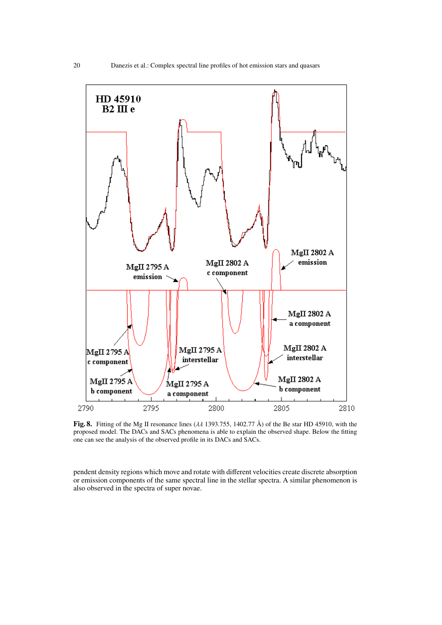

Fig. 8. Fitting of the Mg II resonance lines ( $\lambda\lambda$  1393.755, 1402.77 Å) of the Be star HD 45910, with the proposed model. The DACs and SACs phenomena is able to explain the observed shape. Below the fitting one can see the analysis of the observed profile in its DACs and SACs.

pendent density regions which move and rotate with different velocities create discrete absorption or emission components of the same spectral line in the stellar spectra. A similar phenomenon is also observed in the spectra of super novae.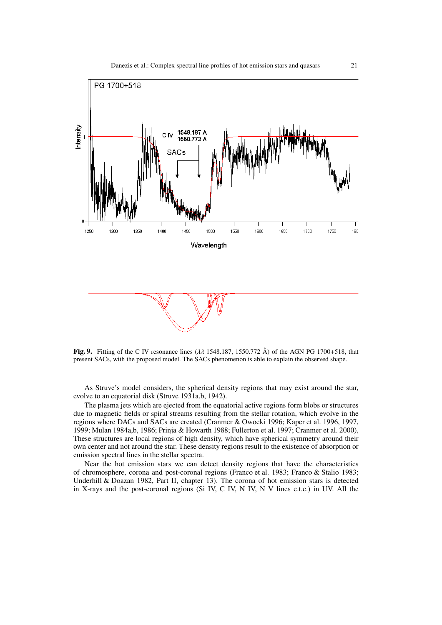

Fig. 9. Fitting of the C IV resonance lines  $(\lambda \lambda)$  1548.187, 1550.772 Å) of the AGN PG 1700+518, that present SACs, with the proposed model. The SACs phenomenon is able to explain the observed shape.

As Struve's model considers, the spherical density regions that may exist around the star, evolve to an equatorial disk (Struve 1931a,b, 1942).

The plasma jets which are ejected from the equatorial active regions form blobs or structures due to magnetic fields or spiral streams resulting from the stellar rotation, which evolve in the regions where DACs and SACs are created (Cranmer & Owocki 1996; Kaper et al. 1996, 1997, 1999; Mulan 1984a,b, 1986; Prinja & Howarth 1988; Fullerton et al. 1997; Cranmer et al. 2000), These structures are local regions of high density, which have spherical symmetry around their own center and not around the star. These density regions result to the existence of absorption or emission spectral lines in the stellar spectra.

Near the hot emission stars we can detect density regions that have the characteristics of chromosphere, corona and post-coronal regions (Franco et al. 1983; Franco & Stalio 1983; Underhill & Doazan 1982, Part II, chapter 13). The corona of hot emission stars is detected in X-rays and the post-coronal regions (Si IV, C IV, N IV, N V lines e.t.c.) in UV. All the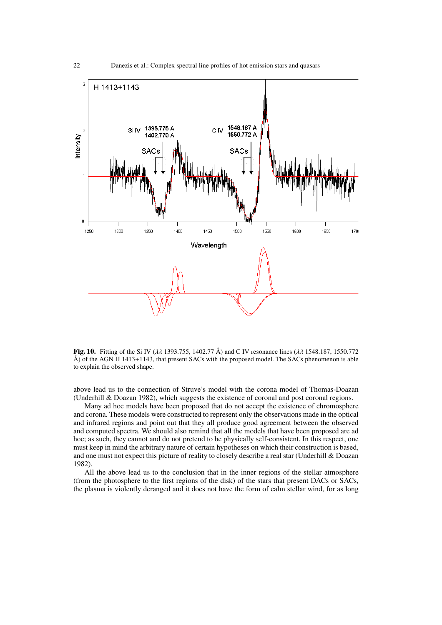

Fig. 10. Fitting of the Si IV ( $\lambda\lambda$  1393.755, 1402.77 Å) and C IV resonance lines ( $\lambda\lambda$  1548.187, 1550.772 Å) of the AGN H 1413+1143, that present SACs with the proposed model. The SACs phenomenon is able to explain the observed shape.

above lead us to the connection of Struve's model with the corona model of Thomas-Doazan (Underhill & Doazan 1982), which suggests the existence of coronal and post coronal regions.

Many ad hoc models have been proposed that do not accept the existence of chromosphere and corona. These models were constructed to represent only the observations made in the optical and infrared regions and point out that they all produce good agreement between the observed and computed spectra. We should also remind that all the models that have been proposed are ad hoc; as such, they cannot and do not pretend to be physically self-consistent. In this respect, one must keep in mind the arbitrary nature of certain hypotheses on which their construction is based, and one must not expect this picture of reality to closely describe a real star (Underhill & Doazan 1982).

All the above lead us to the conclusion that in the inner regions of the stellar atmosphere (from the photosphere to the first regions of the disk) of the stars that present DACs or SACs, the plasma is violently deranged and it does not have the form of calm stellar wind, for as long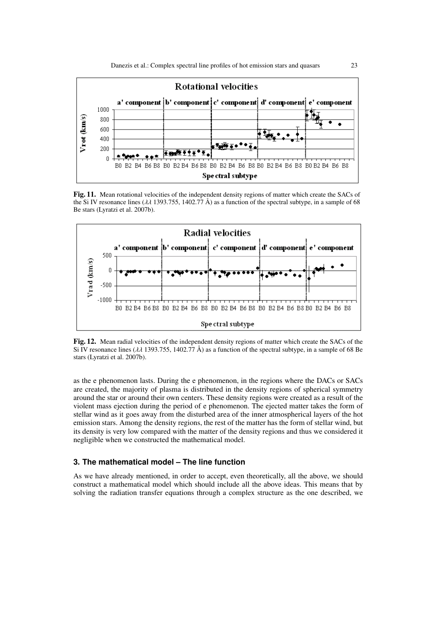

Fig. 11. Mean rotational velocities of the independent density regions of matter which create the SACs of the Si IV resonance lines ( $\lambda\lambda$  1393.755, 1402.77 Å) as a function of the spectral subtype, in a sample of 68 Be stars (Lyratzi et al. 2007b).



Fig. 12. Mean radial velocities of the independent density regions of matter which create the SACs of the Si IV resonance lines ( $\lambda\lambda$  1393.755, 1402.77 Å) as a function of the spectral subtype, in a sample of 68 Be stars (Lyratzi et al. 2007b).

as the e phenomenon lasts. During the e phenomenon, in the regions where the DACs or SACs are created, the majority of plasma is distributed in the density regions of spherical symmetry around the star or around their own centers. These density regions were created as a result of the violent mass ejection during the period of e phenomenon. The ejected matter takes the form of stellar wind as it goes away from the disturbed area of the inner atmospherical layers of the hot emission stars. Among the density regions, the rest of the matter has the form of stellar wind, but its density is very low compared with the matter of the density regions and thus we considered it negligible when we constructed the mathematical model.

## **3. The mathematical model – The line function**

As we have already mentioned, in order to accept, even theoretically, all the above, we should construct a mathematical model which should include all the above ideas. This means that by solving the radiation transfer equations through a complex structure as the one described, we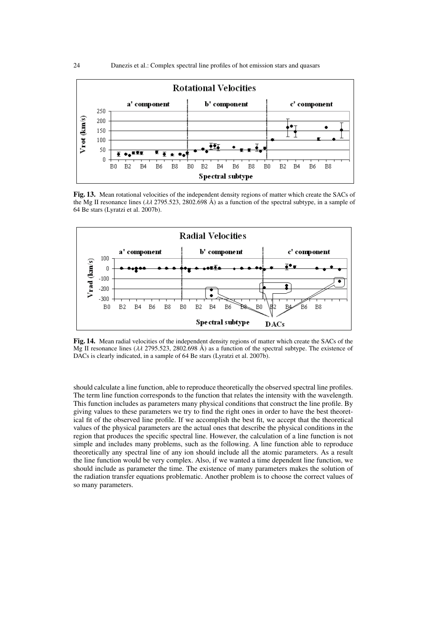

Fig. 13. Mean rotational velocities of the independent density regions of matter which create the SACs of the Mg II resonance lines ( $\lambda \lambda$  2795.523, 2802.698 Å) as a function of the spectral subtype, in a sample of 64 Be stars (Lyratzi et al. 2007b).



Fig. 14. Mean radial velocities of the independent density regions of matter which create the SACs of the Mg II resonance lines (λλ 2795.523, 2802.698 Å) as a function of the spectral subtype. The existence of DACs is clearly indicated, in a sample of 64 Be stars (Lyratzi et al. 2007b).

should calculate a line function, able to reproduce theoretically the observed spectral line profiles. The term line function corresponds to the function that relates the intensity with the wavelength. This function includes as parameters many physical conditions that construct the line profile. By giving values to these parameters we try to find the right ones in order to have the best theoretical fit of the observed line profile. If we accomplish the best fit, we accept that the theoretical values of the physical parameters are the actual ones that describe the physical conditions in the region that produces the specific spectral line. However, the calculation of a line function is not simple and includes many problems, such as the following. A line function able to reproduce theoretically any spectral line of any ion should include all the atomic parameters. As a result the line function would be very complex. Also, if we wanted a time dependent line function, we should include as parameter the time. The existence of many parameters makes the solution of the radiation transfer equations problematic. Another problem is to choose the correct values of so many parameters.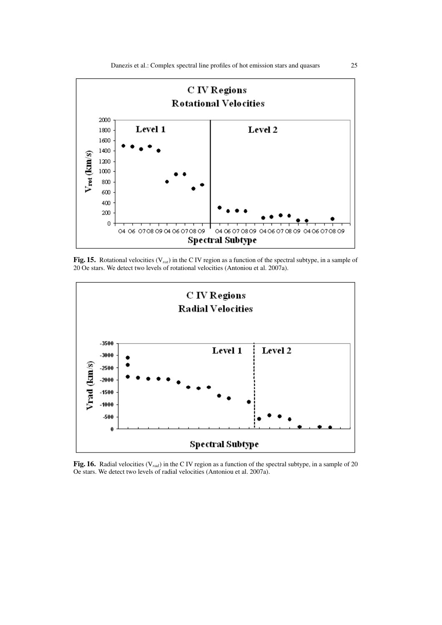

Fig. 15. Rotational velocities (V*rot*) in the C IV region as a function of the spectral subtype, in a sample of 20 Oe stars. We detect two levels of rotational velocities (Antoniou et al. 2007a).



Fig. 16. Radial velocities (V*rad*) in the C IV region as a function of the spectral subtype, in a sample of 20 Oe stars. We detect two levels of radial velocities (Antoniou et al. 2007a).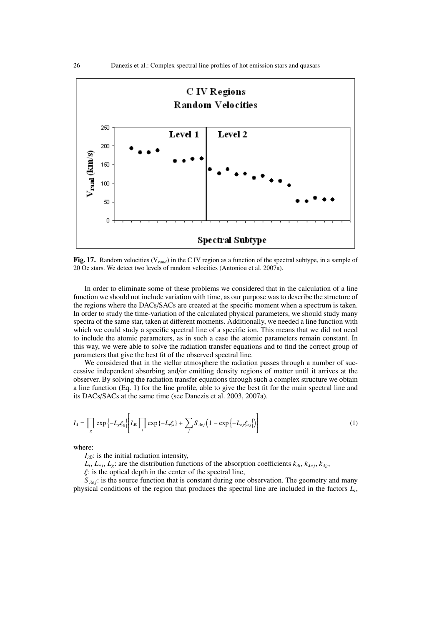

Fig. 17. Random velocities (V*rand*) in the C IV region as a function of the spectral subtype, in a sample of 20 Oe stars. We detect two levels of random velocities (Antoniou et al. 2007a).

In order to eliminate some of these problems we considered that in the calculation of a line function we should not include variation with time, as our purpose was to describe the structure of the regions where the DACs/SACs are created at the specific moment when a spectrum is taken. In order to study the time-variation of the calculated physical parameters, we should study many spectra of the same star, taken at different moments. Additionally, we needed a line function with which we could study a specific spectral line of a specific ion. This means that we did not need to include the atomic parameters, as in such a case the atomic parameters remain constant. In this way, we were able to solve the radiation transfer equations and to find the correct group of parameters that give the best fit of the observed spectral line.

We considered that in the stellar atmosphere the radiation passes through a number of successive independent absorbing and/or emitting density regions of matter until it arrives at the observer. By solving the radiation transfer equations through such a complex structure we obtain a line function (Eq. 1) for the line profile, able to give the best fit for the main spectral line and its DACs/SACs at the same time (see Danezis et al. 2003, 2007a).

$$
I_{\lambda} = \prod_{g} \exp\left\{-L_{g}\xi_{g}\right\} \left[ I_{\lambda 0} \prod_{i} \exp\left\{-L_{i}\xi_{i}\right\} + \sum_{j} S_{\lambda e_{j}} \left(1 - \exp\left\{-L_{e_{j}\xi_{e_{j}}}\right\} \right) \right]
$$
(1)

where:

 $I_{\lambda 0}$ : is the initial radiation intensity,

 $L_i$ ,  $L_{ej}$ ,  $L_g$ : are the distribution functions of the absorption coefficients  $k_{\lambda i}$ ,  $k_{\lambda ej}$ ,  $k_{\lambda g}$ ,

 $\xi$ : is the optical depth in the center of the spectral line,

 $S_{\lambda e i}$ : is the source function that is constant during one observation. The geometry and many physical conditions of the region that produces the spectral line are included in the factors *L<sup>i</sup>* ,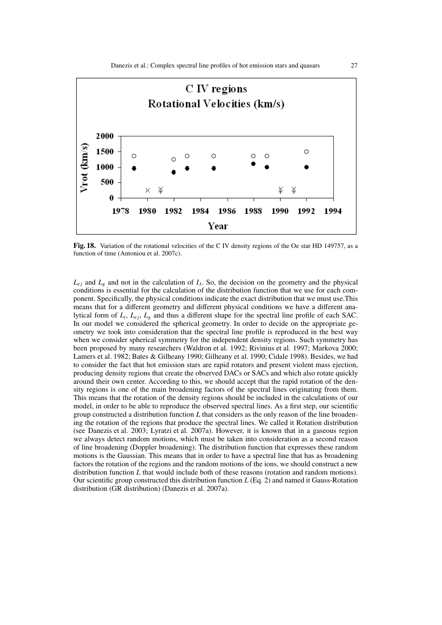

Fig. 18. Variation of the rotational velocities of the C IV density regions of the Oe star HD 149757, as a function of time (Antoniou et al. 2007c).

 $L_{ej}$  and  $L_g$  and not in the calculation of  $I_A$ . So, the decision on the geometry and the physical conditions is essential for the calculation of the distribution function that we use for each component. Specifically, the physical conditions indicate the exact distribution that we must use.This means that for a different geometry and different physical conditions we have a different analytical form of  $L_i$ ,  $L_{ej}$ ,  $L_g$  and thus a different shape for the spectral line profile of each SAC. In our model we considered the spherical geometry. In order to decide on the appropriate geometry we took into consideration that the spectral line profile is reproduced in the best way when we consider spherical symmetry for the independent density regions. Such symmetry has been proposed by many researchers (Waldron et al. 1992; Rivinius et al. 1997; Markova 2000; Lamers et al. 1982; Bates & Gilheany 1990; Gilheany et al. 1990; Cidale 1998). Besides, we had to consider the fact that hot emission stars are rapid rotators and present violent mass ejection, producing density regions that create the observed DACs or SACs and which also rotate quickly around their own center. According to this, we should accept that the rapid rotation of the density regions is one of the main broadening factors of the spectral lines originating from them. This means that the rotation of the density regions should be included in the calculations of our model, in order to be able to reproduce the observed spectral lines. As a first step, our scientific group constructed a distribution function *L* that considers as the only reason of the line broadening the rotation of the regions that produce the spectral lines. We called it Rotation distribution (see Danezis et al. 2003; Lyratzi et al. 2007a). However, it is known that in a gaseous region we always detect random motions, which must be taken into consideration as a second reason of line broadening (Doppler broadening). The distribution function that expresses these random motions is the Gaussian. This means that in order to have a spectral line that has as broadening factors the rotation of the regions and the random motions of the ions, we should construct a new distribution function *L* that would include both of these reasons (rotation and random motions). Our scientific group constructed this distribution function *L* (Eq. 2) and named it Gauss-Rotation distribution (GR distribution) (Danezis et al. 2007a).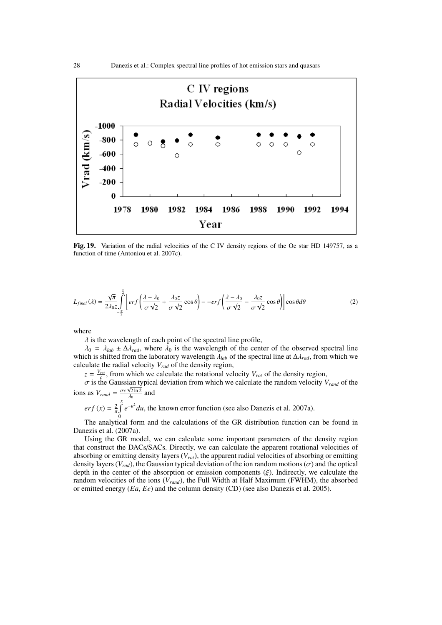

Fig. 19. Variation of the radial velocities of the C IV density regions of the Oe star HD 149757, as a function of time (Antoniou et al. 2007c).

$$
L_{final}(\lambda) = \frac{\sqrt{\pi}}{2\lambda_0 z} \int_{-\frac{\pi}{2}}^{\frac{\pi}{2}} \left[ erf \left( \frac{\lambda - \lambda_0}{\sigma \sqrt{2}} + \frac{\lambda_0 z}{\sigma \sqrt{2}} \cos \theta \right) - -erf \left( \frac{\lambda - \lambda_0}{\sigma \sqrt{2}} - \frac{\lambda_0 z}{\sigma \sqrt{2}} \cos \theta \right) \right] \cos \theta d\theta \tag{2}
$$

where

 $\lambda$  is the wavelength of each point of the spectral line profile,

 $\lambda_0 = \lambda_{lab} \pm \Delta \lambda_{rad}$ , where  $\lambda_0$  is the wavelength of the center of the observed spectral line which is shifted from the laboratory wavelength λ*lab* of the spectral line at ∆λ*rad*, from which we calculate the radial velocity *Vrad* of the density region,

 $z = \frac{V_{rot}}{c}$ , from which we calculate the rotational velocity  $V_{rot}$  of the density region,

 $\sigma$  is the Gaussian typical deviation from which we calculate the random velocity  $V_{rand}$  of the ions as  $V_{rand} = \frac{\sigma c \sqrt{2 \ln 2}}{\lambda_0}$  and

$$
erf(x) = \frac{2}{\pi} \int_{0}^{x} e^{-u^2} du
$$
, the known error function (see also Danezis et al. 2007a).

The analytical form and the calculations of the GR distribution function can be found in Danezis et al. (2007a).

Using the GR model, we can calculate some important parameters of the density region that construct the DACs/SACs. Directly, we can calculate the apparent rotational velocities of absorbing or emitting density layers (*Vrot*), the apparent radial velocities of absorbing or emitting density layers ( $V_{rad}$ ), the Gaussian typical deviation of the ion random motions ( $\sigma$ ) and the optical depth in the center of the absorption or emission components  $(\xi)$ . Indirectly, we calculate the random velocities of the ions (*Vrand*), the Full Width at Half Maximum (FWHM), the absorbed or emitted energy (*Ea*, *Ee*) and the column density (CD) (see also Danezis et al. 2005).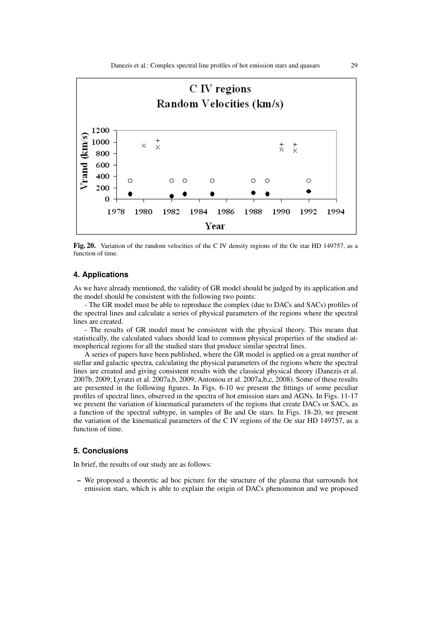

Fig. 20. Variation of the random velocities of the C IV density regions of the Oe star HD 149757, as a function of time.

## **4. Applications**

As we have already mentioned, the validity of GR model should be judged by its application and the model should be consistent with the following two points:

- The GR model must be able to reproduce the complex (due to DACs and SACs) profiles of the spectral lines and calculate a series of physical parameters of the regions where the spectral lines are created.

- The results of GR model must be consistent with the physical theory. This means that statistically, the calculated values should lead to common physical properties of the studied atmospherical regions for all the studied stars that produce similar spectral lines.

A series of papers have been published, where the GR model is applied on a great number of stellar and galactic spectra, calculating the physical parameters of the regions where the spectral lines are created and giving consistent results with the classical physical theory (Danezis et al. 2007b, 2009; Lyratzi et al. 2007a,b, 2009; Antoniou et al. 2007a,b,c, 2008). Some of these results are presented in the following figures. In Figs. 6-10 we present the fittings of some peculiar profiles of spectral lines, observed in the spectra of hot emission stars and AGNs. In Figs. 11-17 we present the variation of kinematical parameters of the regions that create DACs or SACs, as a function of the spectral subtype, in samples of Be and Oe stars. In Figs. 18-20, we present the variation of the kinematical parameters of the C IV regions of the Oe star HD 149757, as a function of time.

#### **5. Conclusions**

In brief, the results of our study are as follows:

– We proposed a theoretic ad hoc picture for the structure of the plasma that surrounds hot emission stars, which is able to explain the origin of DACs phenomenon and we proposed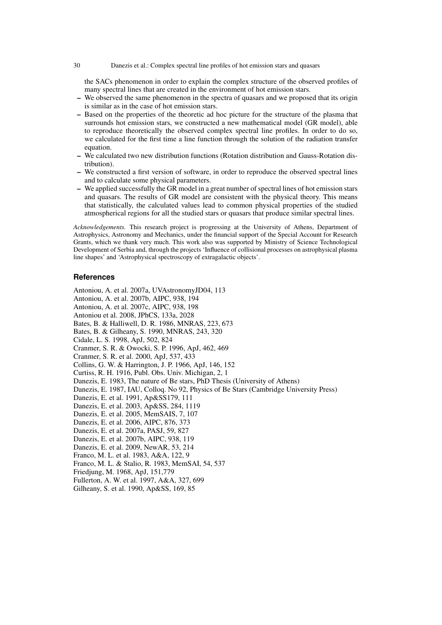#### 30 Danezis et al.: Complex spectral line profiles of hot emission stars and quasars

the SACs phenomenon in order to explain the complex structure of the observed profiles of many spectral lines that are created in the environment of hot emission stars.

- We observed the same phenomenon in the spectra of quasars and we proposed that its origin is similar as in the case of hot emission stars.
- Based on the properties of the theoretic ad hoc picture for the structure of the plasma that surrounds hot emission stars, we constructed a new mathematical model (GR model), able to reproduce theoretically the observed complex spectral line profiles. In order to do so, we calculated for the first time a line function through the solution of the radiation transfer equation.
- We calculated two new distribution functions (Rotation distribution and Gauss-Rotation distribution).
- We constructed a first version of software, in order to reproduce the observed spectral lines and to calculate some physical parameters.
- We applied successfully the GR model in a great number of spectral lines of hot emission stars and quasars. The results of GR model are consistent with the physical theory. This means that statistically, the calculated values lead to common physical properties of the studied atmospherical regions for all the studied stars or quasars that produce similar spectral lines.

*Acknowledgements.* This research project is progressing at the University of Athens, Department of Astrophysics, Astronomy and Mechanics, under the financial support of the Special Account for Research Grants, which we thank very much. This work also was supported by Ministry of Science Technological Development of Serbia and, through the projects 'Influence of collisional processes on astrophysical plasma line shapes' and 'Astrophysical spectroscopy of extragalactic objects'.

#### **References**

Antoniou, A. et al. 2007a, UVAstronomyJD04, 113 Antoniou, A. et al. 2007b, AIPC, 938, 194 Antoniou, A. et al. 2007c, AIPC, 938, 198 Antoniou et al. 2008, JPhCS, 133a, 2028 Bates, B. & Halliwell, D. R. 1986, MNRAS, 223, 673 Bates, B. & Gilheany, S. 1990, MNRAS, 243, 320 Cidale, L. S. 1998, ApJ, 502, 824 Cranmer, S. R. & Owocki, S. P. 1996, ApJ, 462, 469 Cranmer, S. R. et al. 2000, ApJ, 537, 433 Collins, G. W. & Harrington, J. P. 1966, ApJ, 146, 152 Curtiss, R. H. 1916, Publ. Obs. Univ. Michigan, 2, 1 Danezis, E. 1983, The nature of Be stars, PhD Thesis (University of Athens) Danezis, E. 1987, IAU, Colloq. No 92, Physics of Be Stars (Cambridge University Press) Danezis, E. et al. 1991, Ap&SS179, 111 Danezis, E. et al. 2003, Ap&SS, 284, 1119 Danezis, E. et al. 2005, MemSAIS, 7, 107 Danezis, E. et al. 2006, AIPC, 876, 373 Danezis, E. et al. 2007a, PASJ, 59, 827 Danezis, E. et al. 2007b, AIPC, 938, 119 Danezis, E. et al. 2009, NewAR, 53, 214 Franco, M. L. et al. 1983, A&A, 122, 9 Franco, M. L. & Stalio, R. 1983, MemSAI, 54, 537 Friedjung, M. 1968, ApJ, 151,779 Fullerton, A. W. et al. 1997, A&A, 327, 699 Gilheany, S. et al. 1990, Ap&SS, 169, 85